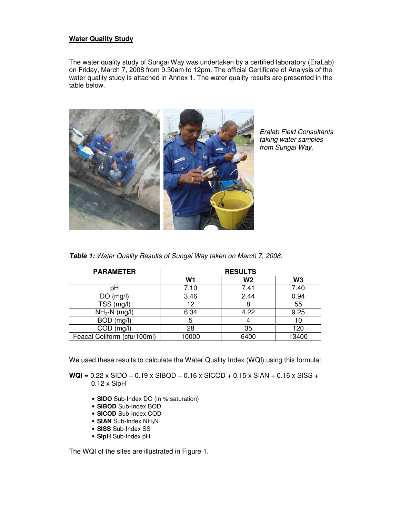# **Water Quality Study**

The water quality study of Sungai Way was undertaken by a certified laboratory (EraLab) on Friday, March 7, 2008 from 9.30am to 12pm. The official Certificate of Analysis of the water quality study is attached in Annex 1. The water quality results are presented in the table below.



Eralab Field Consultants taking water samples from Sungai Way.

| <b>PARAMETER</b>            | <b>RESULTS</b> |      |                |
|-----------------------------|----------------|------|----------------|
|                             | W1             | W2   | W <sub>3</sub> |
| рH                          | 7.10           | 7.41 | 7.40           |
| (mg/l)<br>DO                | 3.46           | 2.44 | 0.94           |
| TSS (mg/l)                  | 12             |      | 55             |
| $NH3-N$ (mg/l)              | 6.34           | 4.22 | 9.25           |
| <b>BOD</b><br>(mg/l)        | 5              |      | 10             |
| COD.<br>(mg/l)              | 28             | 35   | 120            |
| Feacal Coliform (cfu/100ml) | 10000          | 6400 | 13400          |

We used these results to calculate the Water Quality Index (WQI) using this formula:

**WQI** = 0.22 x SIDO + 0.19 x SIBOD + 0.16 x SICOD + 0.15 x SIAN + 0.16 x SISS + 0.12 x SipH

- **SIDO** Sub-Index DO (in % saturation)
- **SIBOD** Sub-Index BOD
- **SICOD** Sub-Index COD
- **SIAN** Sub-Index NH<sub>3</sub>N
- **SISS** Sub-Index SS
- **SIpH** Sub-Index pH

The WQI of the sites are illustrated in Figure 1.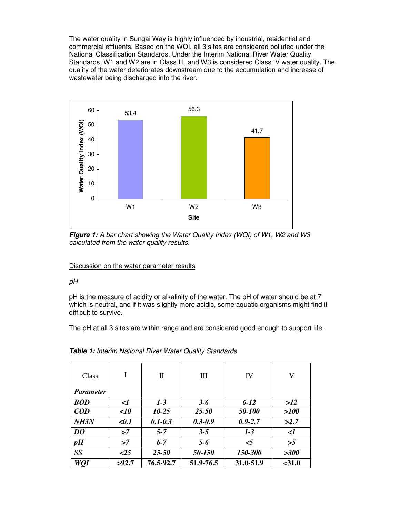The water quality in Sungai Way is highly influenced by industrial, residential and commercial effluents. Based on the WQI, all 3 sites are considered polluted under the National Classification Standards. Under the Interim National River Water Quality Standards, W1 and W2 are in Class III, and W3 is considered Class IV water quality. The quality of the water deteriorates downstream due to the accumulation and increase of wastewater being discharged into the river.



**Figure 1:** A bar chart showing the Water Quality Index (WQI) of W1, W2 and W3 calculated from the water quality results.

# Discussion on the water parameter results

# pH

pH is the measure of acidity or alkalinity of the water. The pH of water should be at 7 which is neutral, and if it was slightly more acidic, some aquatic organisms might find it difficult to survive.

The pH at all 3 sites are within range and are considered good enough to support life.

| Class                            | I            | П           | Ш           | IV          | V         |
|----------------------------------|--------------|-------------|-------------|-------------|-----------|
| <i>Parameter</i>                 |              |             |             |             |           |
| <b>BOD</b>                       | $\langle$ 1  | $1-3$       | $3 - 6$     | $6 - 12$    | >12       |
| $\mathbf{C}\mathbf{O}\mathbf{D}$ | $\langle$ 10 | $10 - 25$   | $25 - 50$   | 50-100      | >100      |
| NH <sub>3N</sub>                 | $0.1$        | $0.1 - 0.3$ | $0.3 - 0.9$ | $0.9 - 2.7$ | >2.7      |
| DO                               | >7           | $5 - 7$     | $3 - 5$     | $1-3$       | $\langle$ |
| pH                               | >7           | $6 - 7$     | $5 - 6$     | $\leq$ 5    | >5        |
| <b>SS</b>                        | $\leq$ 25    | $25 - 50$   | 50-150      | 150-300     | >300      |
| WQI                              | >92.7        | 76.5-92.7   | 51.9-76.5   | 31.0-51.9   | $<$ 31.0  |

**Table 1:** Interim National River Water Quality Standards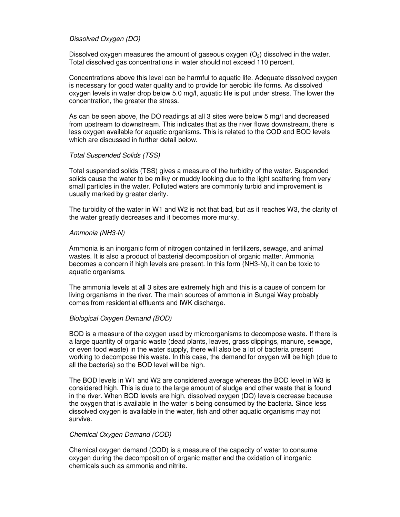## Dissolved Oxygen (DO)

Dissolved oxygen measures the amount of gaseous oxygen  $(O_2)$  dissolved in the water. Total dissolved gas concentrations in water should not exceed 110 percent.

Concentrations above this level can be harmful to aquatic life. Adequate dissolved oxygen is necessary for good water quality and to provide for aerobic life forms. As dissolved oxygen levels in water drop below 5.0 mg/l, aquatic life is put under stress. The lower the concentration, the greater the stress.

As can be seen above, the DO readings at all 3 sites were below 5 mg/l and decreased from upstream to downstream. This indicates that as the river flows downstream, there is less oxygen available for aquatic organisms. This is related to the COD and BOD levels which are discussed in further detail below.

#### Total Suspended Solids (TSS)

Total suspended solids (TSS) gives a measure of the turbidity of the water. Suspended solids cause the water to be milky or muddy looking due to the light scattering from very small particles in the water. Polluted waters are commonly turbid and improvement is usually marked by greater clarity.

The turbidity of the water in W1 and W2 is not that bad, but as it reaches W3, the clarity of the water greatly decreases and it becomes more murky.

#### Ammonia (NH3-N)

Ammonia is an inorganic form of nitrogen contained in fertilizers, sewage, and animal wastes. It is also a product of bacterial decomposition of organic matter. Ammonia becomes a concern if high levels are present. In this form (NH3-N), it can be toxic to aquatic organisms.

The ammonia levels at all 3 sites are extremely high and this is a cause of concern for living organisms in the river. The main sources of ammonia in Sungai Way probably comes from residential effluents and IWK discharge.

#### Biological Oxygen Demand (BOD)

BOD is a measure of the oxygen used by microorganisms to decompose waste. If there is a large quantity of organic waste (dead plants, leaves, grass clippings, manure, sewage, or even food waste) in the water supply, there will also be a lot of bacteria present working to decompose this waste. In this case, the demand for oxygen will be high (due to all the bacteria) so the BOD level will be high.

The BOD levels in W1 and W2 are considered average whereas the BOD level in W3 is considered high. This is due to the large amount of sludge and other waste that is found in the river. When BOD levels are high, dissolved oxygen (DO) levels decrease because the oxygen that is available in the water is being consumed by the bacteria. Since less dissolved oxygen is available in the water, fish and other aquatic organisms may not survive.

#### Chemical Oxygen Demand (COD)

Chemical oxygen demand (COD) is a measure of the capacity of water to consume oxygen during the decomposition of organic matter and the oxidation of inorganic chemicals such as ammonia and nitrite.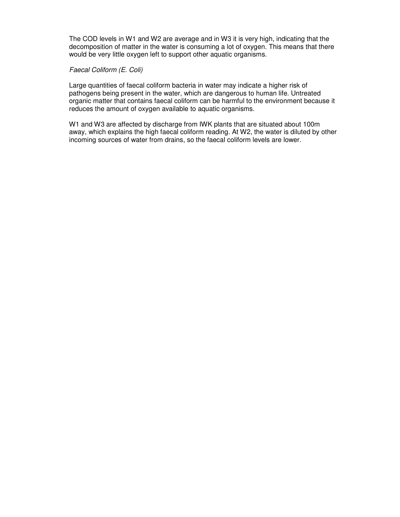The COD levels in W1 and W2 are average and in W3 it is very high, indicating that the decomposition of matter in the water is consuming a lot of oxygen. This means that there would be very little oxygen left to support other aquatic organisms.

### Faecal Coliform (E. Coli)

Large quantities of faecal coliform bacteria in water may indicate a higher risk of pathogens being present in the water, which are dangerous to human life. Untreated organic matter that contains faecal coliform can be harmful to the environment because it reduces the amount of oxygen available to aquatic organisms.

W1 and W3 are affected by discharge from IWK plants that are situated about 100m away, which explains the high faecal coliform reading. At W2, the water is diluted by other incoming sources of water from drains, so the faecal coliform levels are lower.